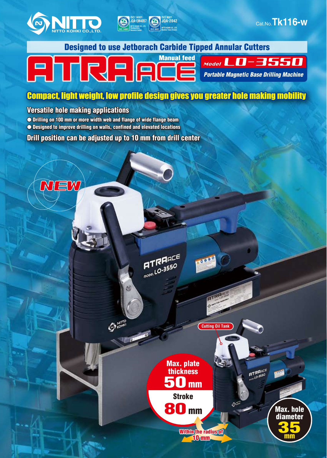



**ISO 9001 JQA-2042**

**NITTO KOHKI CO.,LTD. Machine Tools Division ISO 9001**

#### **FILCARE** Model LO-3550 *Portable Magnetic Base Drilling Machine*

**ISO 14001**<br> **ISO 14001**<br> **ISO 14001**<br> **Research Center** 

### Compact, light weight, low profile design gives you greater hole making mobility

#### Versatile hole making applications

EW

• Drilling on 100 mm or more width web and flange of wide flange beam • Designed to improve drilling on walls, confined and elevated locations

Drill position can be adjusted up to 10 mm from drill center

 $\mathcal{Q}^{\text{max}}$ 

**ATRANCE**  $ATRHAC$ 

> Stroke Max. plate thickness<br>50 mm

80 mm

Within the radius of 10 mm

**Cutting Oil Tank**

**ATRANCE** 

Max.hole Max. hole diameter<br> **35** mm

Cat.No.**Tk116-w**